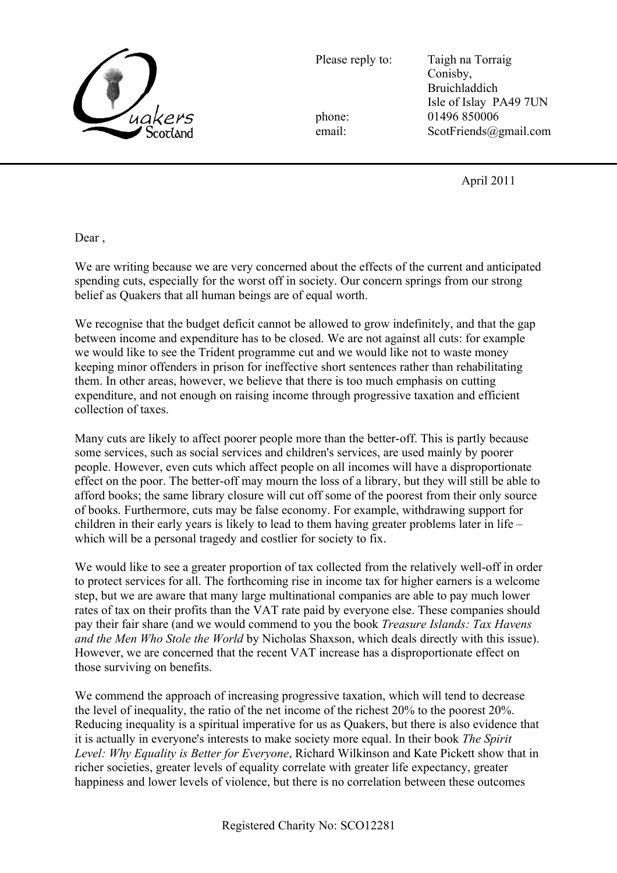

Please reply to: Taigh na Torraig Conisby, Bruichladdich Isle of Islay PA49 7UN phone: 01496 850006 email: ScotFriends@gmail.com

April 2011

Dear ,

We are writing because we are very concerned about the effects of the current and anticipated spending cuts, especially for the worst off in society. Our concern springs from our strong belief as Quakers that all human beings are of equal worth.

We recognise that the budget deficit cannot be allowed to grow indefinitely, and that the gap between income and expenditure has to be closed. We are not against all cuts: for example we would like to see the Trident programme cut and we would like not to waste money keeping minor offenders in prison for ineffective short sentences rather than rehabilitating them. In other areas, however, we believe that there is too much emphasis on cutting expenditure, and not enough on raising income through progressive taxation and efficient collection of taxes.

Many cuts are likely to affect poorer people more than the better-off. This is partly because some services, such as social services and children's services, are used mainly by poorer people. However, even cuts which affect people on all incomes will have a disproportionate effect on the poor. The better-off may mourn the loss of a library, but they will still be able to afford books; the same library closure will cut off some of the poorest from their only source of books. Furthermore, cuts may be false economy. For example, withdrawing support for children in their early years is likely to lead to them having greater problems later in life – which will be a personal tragedy and costlier for society to fix.

We would like to see a greater proportion of tax collected from the relatively well-off in order to protect services for all. The forthcoming rise in income tax for higher earners is a welcome step, but we are aware that many large multinational companies are able to pay much lower rates of tax on their profits than the VAT rate paid by everyone else. These companies should pay their fair share (and we would commend to you the book *Treasure Islands: Tax Havens and the Men Who Stole the World* by Nicholas Shaxson, which deals directly with this issue). However, we are concerned that the recent VAT increase has a disproportionate effect on those surviving on benefits.

We commend the approach of increasing progressive taxation, which will tend to decrease the level of inequality, the ratio of the net income of the richest  $20\%$  to the poorest  $20\%$ . Reducing inequality is a spiritual imperative for us as Quakers, but there is also evidence that it is actually in everyone's interests to make society more equal. In their book *The Spirit Level: Why Equality is Better for Everyone*, Richard Wilkinson and Kate Pickett show that in richer societies, greater levels of equality correlate with greater life expectancy, greater happiness and lower levels of violence, but there is no correlation between these outcomes